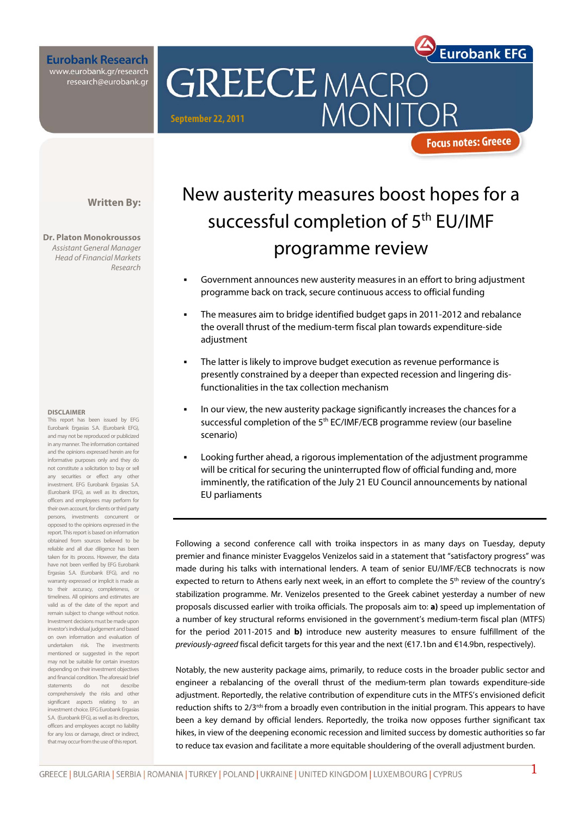

**Eurobank Research** www.eurobank.gr/research research@eurobank.gr

**GREECE MACRO** MONIT

**September 22, 2011** 

#### **Focus notes: Greece**

**Written By:** 

**Dr. Platon Monokroussos**  Assistant General Manager Head of Financial Markets Research

#### **DISCLAIMER**

This report has been issued by EFG Eurobank Ergasias S.A. (Eurobank EFG), and may not be reproduced or publicized in any manner. The information contained and the opinions expressed herein are for informative purposes only and they do not constitute a solicitation to buy or sell any securities or effect any other investment. EFG Eurobank Ergasias S.A. (Eurobank EFG), as well as its directors, officers and employees may perform for their own account, for clients or third party persons, investments concurrent or opposed to the opinions expressed in the report. This report is based on information obtained from sources believed to be reliable and all due diligence has been taken for its process. However, the data have not been verified by EFG Eurobank Ergasias S.A. (Eurobank EFG), and no warranty expressed or implicit is made as to their accuracy, completeness, or timeliness. All opinions and estimates are valid as of the date of the report and remain subject to change without notice. Investment decisions must be made upon investor's individual judgement and based on own information and evaluation of undertaken risk. The investments mentioned or suggested in the report may not be suitable for certain investors depending on their investment objectives and financial condition. The aforesaid brief statements do not describe comprehensively the risks and other significant aspects relating to an investment choice. EFG Eurobank Ergasias S.A. (Eurobank EEG), as well as its directors officers and employees accept no liability for any loss or damage, direct or indirect that may occur from the use of this report.

# New austerity measures boost hopes for a successful completion of 5<sup>th</sup> EU/IMF programme review

- Government announces new austerity measures in an effort to bring adjustment programme back on track, secure continuous access to official funding
- The measures aim to bridge identified budget gaps in 2011-2012 and rebalance the overall thrust of the medium-term fiscal plan towards expenditure-side adiustment
- The latter is likely to improve budget execution as revenue performance is presently constrained by a deeper than expected recession and lingering disfunctionalities in the tax collection mechanism
- In our view, the new austerity package significantly increases the chances for a successful completion of the 5<sup>th</sup> EC/IMF/ECB programme review (our baseline scenario)
- Looking further ahead, a rigorous implementation of the adjustment programme will be critical for securing the uninterrupted flow of official funding and, more imminently, the ratification of the July 21 EU Council announcements by national EU parliaments

Following a second conference call with troika inspectors in as many days on Tuesday, deputy premier and finance minister Evaggelos Venizelos said in a statement that "satisfactory progress" was made during his talks with international lenders. A team of senior EU/IMF/ECB technocrats is now expected to return to Athens early next week, in an effort to complete the 5<sup>th</sup> review of the country's stabilization programme. Mr. Venizelos presented to the Greek cabinet yesterday a number of new proposals discussed earlier with troika officials. The proposals aim to: **a)** speed up implementation of a number of key structural reforms envisioned in the government's medium-term fiscal plan (MTFS) for the period 2011-2015 and **b)** introduce new austerity measures to ensure fulfillment of the previously-agreed fiscal deficit targets for this year and the next (€17.1bn and €14.9bn, respectively).

Notably, the new austerity package aims, primarily, to reduce costs in the broader public sector and engineer a rebalancing of the overall thrust of the medium-term plan towards expenditure-side adjustment. Reportedly, the relative contribution of expenditure cuts in the MTFS's envisioned deficit reduction shifts to 2/3<sup>rds</sup> from a broadly even contribution in the initial program. This appears to have been a key demand by official lenders. Reportedly, the troika now opposes further significant tax hikes, in view of the deepening economic recession and limited success by domestic authorities so far to reduce tax evasion and facilitate a more equitable shouldering of the overall adjustment burden.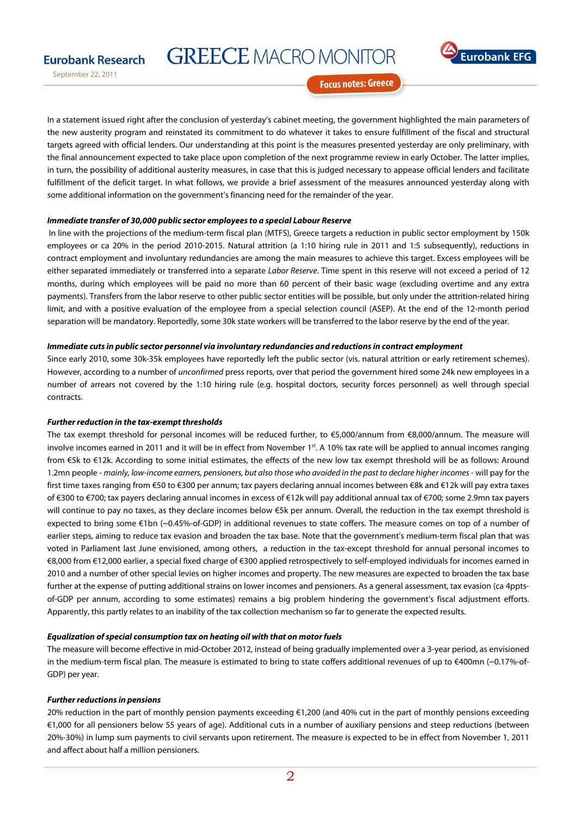### **Eurobank Research**

September 22, 2011

**GREECE MACRO MONITOR** 



**Focus notes: Greece** 

In a statement issued right after the conclusion of yesterday's cabinet meeting, the government highlighted the main parameters of the new austerity program and reinstated its commitment to do whatever it takes to ensure fulfillment of the fiscal and structural targets agreed with official lenders. Our understanding at this point is the measures presented yesterday are only preliminary, with the final announcement expected to take place upon completion of the next programme review in early October. The latter implies, in turn, the possibility of additional austerity measures, in case that this is judged necessary to appease official lenders and facilitate fulfillment of the deficit target. In what follows, we provide a brief assessment of the measures announced yesterday along with some additional information on the government's financing need for the remainder of the year.

#### **Immediate transfer of 30,000 public sector employees to a special Labour Reserve**

In line with the projections of the medium-term fiscal plan (MTFS), Greece targets a reduction in public sector employment by 150k employees or ca 20% in the period 2010-2015. Natural attrition (a 1:10 hiring rule in 2011 and 1:5 subsequently), reductions in contract employment and involuntary redundancies are among the main measures to achieve this target. Excess employees will be either separated immediately or transferred into a separate Labor Reserve. Time spent in this reserve will not exceed a period of 12 months, during which employees will be paid no more than 60 percent of their basic wage (excluding overtime and any extra payments). Transfers from the labor reserve to other public sector entities will be possible, but only under the attrition-related hiring limit, and with a positive evaluation of the employee from a special selection council (ASEP). At the end of the 12-month period separation will be mandatory. Reportedly, some 30k state workers will be transferred to the labor reserve by the end of the year.

#### **Immediate cuts in public sector personnel via involuntary redundancies and reductions in contract employment**

Since early 2010, some 30k-35k employees have reportedly left the public sector (vis. natural attrition or early retirement schemes). However, according to a number of *unconfirmed* press reports, over that period the government hired some 24k new employees in a number of arrears not covered by the 1:10 hiring rule (e.g. hospital doctors, security forces personnel) as well through special contracts.

#### **Further reduction in the tax-exempt thresholds**

The tax exempt threshold for personal incomes will be reduced further, to €5,000/annum from €8,000/annum. The measure will involve incomes earned in 2011 and it will be in effect from November 1st. A 10% tax rate will be applied to annual incomes ranging from €5k to €12k. According to some initial estimates, the effects of the new low tax exempt threshold will be as follows: Around 1.2mn people - mainly, low-income earners, pensioners, but also those who avoided in the past to declare higher incomes - will pay for the first time taxes ranging from €50 to €300 per annum; tax payers declaring annual incomes between €8k and €12k will pay extra taxes of €300 to €700; tax payers declaring annual incomes in excess of €12k will pay additional annual tax of €700; some 2.9mn tax payers will continue to pay no taxes, as they declare incomes below €5k per annum. Overall, the reduction in the tax exempt threshold is expected to bring some €1bn (~0.45%-of-GDP) in additional revenues to state coffers. The measure comes on top of a number of earlier steps, aiming to reduce tax evasion and broaden the tax base. Note that the government's medium-term fiscal plan that was voted in Parliament last June envisioned, among others, a reduction in the tax-except threshold for annual personal incomes to €8,000 from €12,000 earlier, a special fixed charge of €300 applied retrospectively to self-employed individuals for incomes earned in 2010 and a number of other special levies on higher incomes and property. The new measures are expected to broaden the tax base further at the expense of putting additional strains on lower incomes and pensioners. As a general assessment, tax evasion (ca 4pptsof-GDP per annum, according to some estimates) remains a big problem hindering the government's fiscal adjustment efforts. Apparently, this partly relates to an inability of the tax collection mechanism so far to generate the expected results.

#### **Equalization of special consumption tax on heating oil with that on motor fuels**

The measure will become effective in mid-October 2012, instead of being gradually implemented over a 3-year period, as envisioned in the medium-term fiscal plan. The measure is estimated to bring to state coffers additional revenues of up to €400mn (~0.17%-of-GDP) per year.

#### **Further reductions in pensions**

20% reduction in the part of monthly pension payments exceeding €1,200 (and 40% cut in the part of monthly pensions exceeding €1,000 for all pensioners below 55 years of age). Additional cuts in a number of auxiliary pensions and steep reductions (between 20%-30%) in lump sum payments to civil servants upon retirement. The measure is expected to be in effect from November 1, 2011 and affect about half a million pensioners.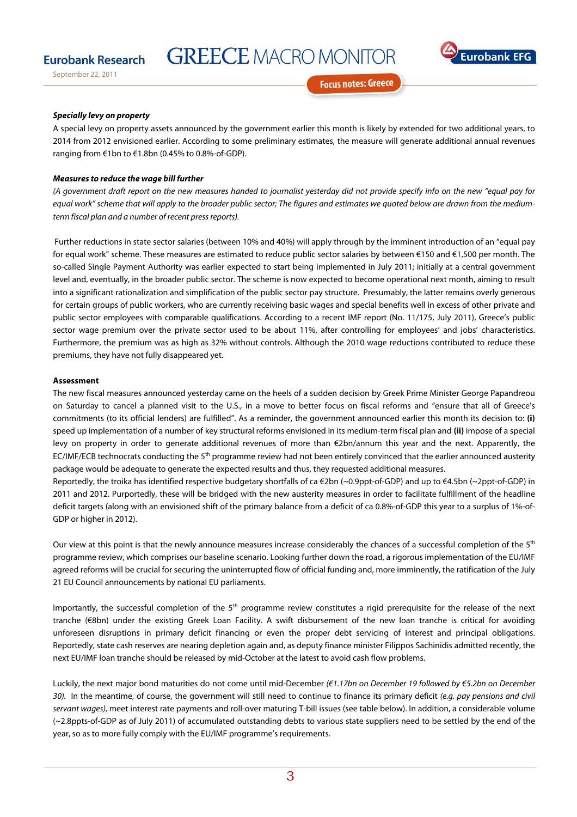## **Eurobank Research**

September 22, 2011

**GREECE MACRO MONITOR** 



**Focus notes: Greece** 

#### **Specially levy on property**

A special levy on property assets announced by the government earlier this month is likely by extended for two additional years, to 2014 from 2012 envisioned earlier. According to some preliminary estimates, the measure will generate additional annual revenues ranging from €1bn to €1.8bn (0.45% to 0.8%-of-GDP).

#### **Measures to reduce the wage bill further**

(A government draft report on the new measures handed to journalist yesterday did not provide specify info on the new "equal pay for equal work" scheme that will apply to the broader public sector; The figures and estimates we quoted below are drawn from the mediumterm fiscal plan and a number of recent press reports).

Further reductions in state sector salaries (between 10% and 40%) will apply through by the imminent introduction of an "equal pay for equal work" scheme. These measures are estimated to reduce public sector salaries by between €150 and €1,500 per month. The so-called Single Payment Authority was earlier expected to start being implemented in July 2011; initially at a central government level and, eventually, in the broader public sector. The scheme is now expected to become operational next month, aiming to result into a significant rationalization and simplification of the public sector pay structure. Presumably, the latter remains overly generous for certain groups of public workers, who are currently receiving basic wages and special benefits well in excess of other private and public sector employees with comparable qualifications. According to a recent IMF report (No. 11/175, July 2011), Greece's public sector wage premium over the private sector used to be about 11%, after controlling for employees' and jobs' characteristics. Furthermore, the premium was as high as 32% without controls. Although the 2010 wage reductions contributed to reduce these premiums, they have not fully disappeared yet.

#### **Assessment**

The new fiscal measures announced yesterday came on the heels of a sudden decision by Greek Prime Minister George Papandreou on Saturday to cancel a planned visit to the U.S., in a move to better focus on fiscal reforms and "ensure that all of Greece's commitments (to its official lenders) are fulfilled". As a reminder, the government announced earlier this month its decision to: **(i)**  speed up implementation of a number of key structural reforms envisioned in its medium-term fiscal plan and **(ii)** impose of a special levy on property in order to generate additional revenues of more than €2bn/annum this year and the next. Apparently, the EC/IMF/ECB technocrats conducting the 5<sup>th</sup> programme review had not been entirely convinced that the earlier announced austerity package would be adequate to generate the expected results and thus, they requested additional measures.

Reportedly, the troika has identified respective budgetary shortfalls of ca €2bn (~0.9ppt-of-GDP) and up to €4.5bn (~2ppt-of-GDP) in 2011 and 2012. Purportedly, these will be bridged with the new austerity measures in order to facilitate fulfillment of the headline deficit targets (along with an envisioned shift of the primary balance from a deficit of ca 0.8%-of-GDP this year to a surplus of 1%-of-GDP or higher in 2012).

Our view at this point is that the newly announce measures increase considerably the chances of a successful completion of the 5<sup>th</sup> programme review, which comprises our baseline scenario. Looking further down the road, a rigorous implementation of the EU/IMF agreed reforms will be crucial for securing the uninterrupted flow of official funding and, more imminently, the ratification of the July 21 EU Council announcements by national EU parliaments.

Importantly, the successful completion of the 5<sup>th</sup> programme review constitutes a rigid prerequisite for the release of the next tranche (€8bn) under the existing Greek Loan Facility. A swift disbursement of the new loan tranche is critical for avoiding unforeseen disruptions in primary deficit financing or even the proper debt servicing of interest and principal obligations. Reportedly, state cash reserves are nearing depletion again and, as deputy finance minister Filippos Sachinidis admitted recently, the next EU/IMF loan tranche should be released by mid-October at the latest to avoid cash flow problems.

Luckily, the next major bond maturities do not come until mid-December (€1.17bn on December 19 followed by €5.2bn on December 30). In the meantime, of course, the government will still need to continue to finance its primary deficit (e.g. pay pensions and civil servant wages), meet interest rate payments and roll-over maturing T-bill issues (see table below). In addition, a considerable volume (~2.8ppts-of-GDP as of July 2011) of accumulated outstanding debts to various state suppliers need to be settled by the end of the year, so as to more fully comply with the EU/IMF programme's requirements.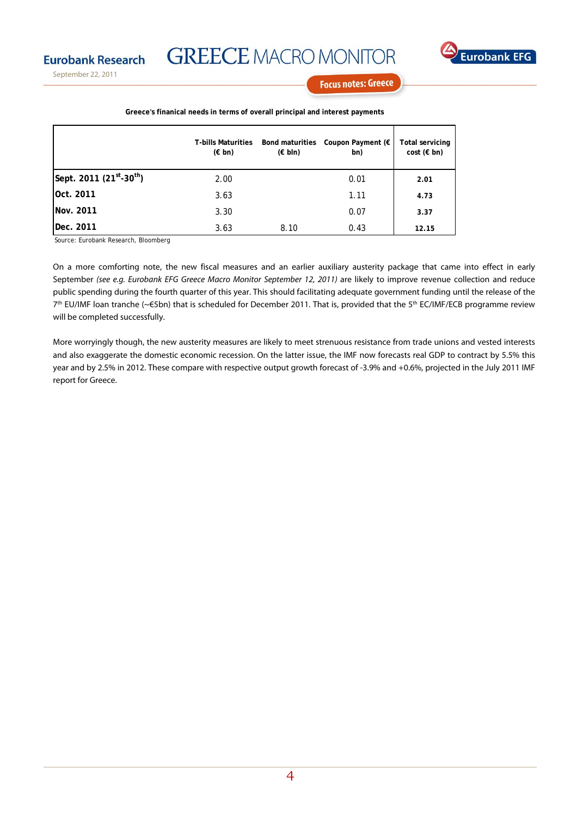**Eurobank Research** 

September 22, 2011

**GREECE MACRO MONITOR** 



**Focus notes: Greece** 

|                                                  | <b>T-bills Maturities</b><br>$(\epsilon$ bn) | <b>Bond maturities</b><br>$(\in$ bln) | Coupon Payment (€<br>bn) | Total servicing<br>$cost$ ( $\in$ bn) |
|--------------------------------------------------|----------------------------------------------|---------------------------------------|--------------------------|---------------------------------------|
| Sept. 2011 (21 <sup>st</sup> -30 <sup>th</sup> ) | 2.00                                         |                                       | 0.01                     | 2.01                                  |
| Oct. 2011                                        | 3.63                                         |                                       | 1.11                     | 4.73                                  |
| <b>Nov. 2011</b>                                 | 3.30                                         |                                       | 0.07                     | 3.37                                  |
| Dec. 2011                                        | 3.63                                         | 8.10                                  | 0.43                     | 12.15                                 |

**Greece's finanical needs in terms of overall principal and interest payments**

Source: Eurobank Research, Bloomberg

On a more comforting note, the new fiscal measures and an earlier auxiliary austerity package that came into effect in early September (see e.g. Eurobank EFG Greece Macro Monitor September 12, 2011) are likely to improve revenue collection and reduce public spending during the fourth quarter of this year. This should facilitating adequate government funding until the release of the  $7<sup>th</sup>$  EU/IMF loan tranche (~€5bn) that is scheduled for December 2011. That is, provided that the 5<sup>th</sup> EC/IMF/ECB programme review will be completed successfully.

More worryingly though, the new austerity measures are likely to meet strenuous resistance from trade unions and vested interests and also exaggerate the domestic economic recession. On the latter issue, the IMF now forecasts real GDP to contract by 5.5% this year and by 2.5% in 2012. These compare with respective output growth forecast of -3.9% and +0.6%, projected in the July 2011 IMF report for Greece.